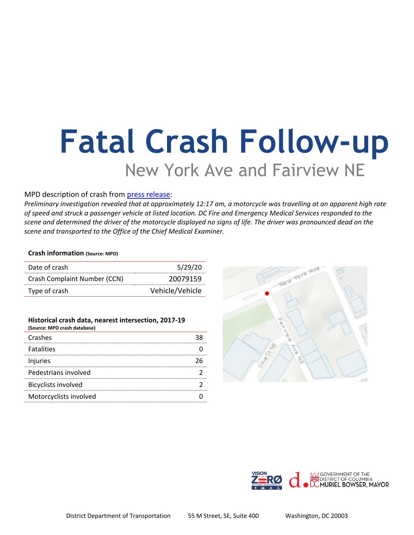# **Fatal Crash Follow-up** New York Ave and Fairview NE

### MPD description of crash from [press release:](https://mpdc.dc.gov/release/traffic-fatality-intersection-new-york-avenue-and-fairview-avenue-northeast)

*Preliminary investigation revealed that at approximately 12:17 am, a motorcycle was travelling at an apparent high rate of speed and struck a passenger vehicle at listed location. DC Fire and Emergency Medical Services responded to the scene and determined the driver of the motorcycle displayed no signs of life. The driver was pronounced dead on the scene and transported to the Office of the Chief Medical Examiner.*

#### **Crash information (Source: MPD)**

| Date of crash                | 5/29/20         |
|------------------------------|-----------------|
| Crash Complaint Number (CCN) | 20079159        |
| Type of crash                | Vehicle/Vehicle |

| Historical crash data, nearest intersection, 2017-19<br>(Source: MPD crash database) |  |
|--------------------------------------------------------------------------------------|--|
| Crashes                                                                              |  |
| <b>Fatalities</b>                                                                    |  |
| Injuries                                                                             |  |
| Pedestrians involved                                                                 |  |
| <b>Bicyclists involved</b>                                                           |  |
| Motorcyclists involved                                                               |  |